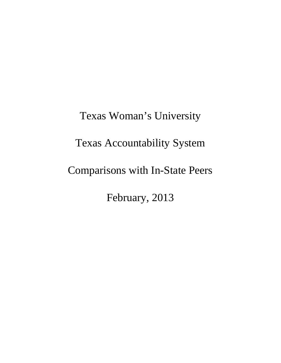Texas Woman's University Texas Accountability System Comparisons with In-State Peers February, 2013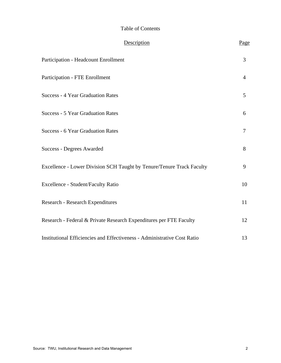#### Table of Contents

| Description                                                              | Page           |
|--------------------------------------------------------------------------|----------------|
| Participation - Headcount Enrollment                                     | $\overline{3}$ |
| Participation - FTE Enrollment                                           | 4              |
| <b>Success - 4 Year Graduation Rates</b>                                 | 5              |
| Success - 5 Year Graduation Rates                                        | 6              |
| <b>Success - 6 Year Graduation Rates</b>                                 | 7              |
| <b>Success - Degrees Awarded</b>                                         | 8              |
| Excellence - Lower Division SCH Taught by Tenure/Tenure Track Faculty    | 9              |
| Excellence - Student/Faculty Ratio                                       | 10             |
| <b>Research - Research Expenditures</b>                                  | 11             |
| Research - Federal & Private Research Expenditures per FTE Faculty       | 12             |
| Institutional Efficiencies and Effectiveness - Administrative Cost Ratio | 13             |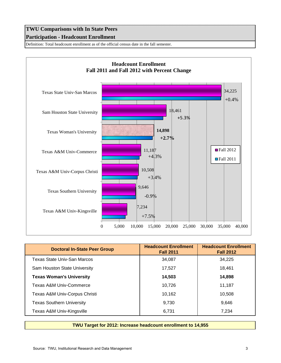# **TWU Comparisons with In State Peers Participation - Headcount Enrollment**

Definition: Total headcount enrollment as of the official census date in the fall semester.



| <b>Doctoral In-State Peer Group</b> | <b>Headcount Enrollment</b><br><b>Fall 2011</b> | <b>Headcount Enrollment</b><br><b>Fall 2012</b> |
|-------------------------------------|-------------------------------------------------|-------------------------------------------------|
| Texas State Univ-San Marcos         | 34,087                                          | 34.225                                          |
| Sam Houston State University        | 17,527                                          | 18,461                                          |
| <b>Texas Woman's University</b>     | 14,503                                          | 14,898                                          |
| Texas A&M Univ-Commerce             | 10,726                                          | 11,187                                          |
| Texas A&M Univ-Corpus Christi       | 10,162                                          | 10,508                                          |
| <b>Texas Southern University</b>    | 9,730                                           | 9,646                                           |
| Texas A&M Univ-Kingsville           | 6,731                                           | 7.234                                           |

**TWU Target for 2012: Increase headcount enrollment to 14,955**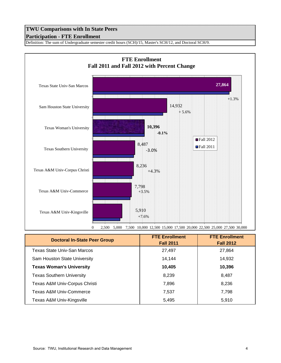#### **Participation - FTE Enrollment**

Definition: The sum of Undergraduate semester credit hours (SCH)/15, Master's SCH/12, and Doctoral SCH/9.



| <b>Doctoral In-State Peer Group</b> | <b>FTE Enrollment</b><br><b>Fall 2011</b> | <b>FTE Enrollment</b><br><b>Fall 2012</b> |
|-------------------------------------|-------------------------------------------|-------------------------------------------|
| <b>Texas State Univ-San Marcos</b>  | 27,497                                    | 27,864                                    |
| Sam Houston State University        | 14,144                                    | 14,932                                    |
| <b>Texas Woman's University</b>     | 10,405                                    | 10,396                                    |
| <b>Texas Southern University</b>    | 8,239                                     | 8,487                                     |
| Texas A&M Univ-Corpus Christi       | 7,896                                     | 8,236                                     |
| <b>Texas A&amp;M Univ-Commerce</b>  | 7,537                                     | 7,798                                     |
| Texas A&M Univ-Kingsville           | 5,495                                     | 5,910                                     |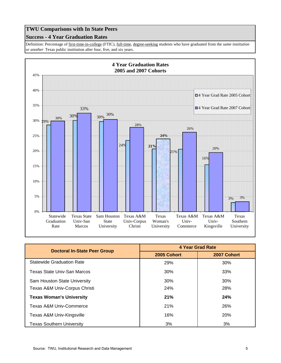#### **Success - 4 Year Graduation Rates**

Definition: Percentage of first-time-in-college (FTIC), full-time, degree-seeking students who have graduated from the *same institution or another* Texas public institution after four, five, and six years.



|                                     | <b>4 Year Grad Rate</b> |             |
|-------------------------------------|-------------------------|-------------|
| <b>Doctoral In-State Peer Group</b> | 2005 Cohort             | 2007 Cohort |
| <b>Statewide Graduation Rate</b>    | 29%                     | 30%         |
| Texas State Univ-San Marcos         | 30%                     | 33%         |
| Sam Houston State University        | 30%                     | 30%         |
| Texas A&M Univ-Corpus Christi       | <b>24%</b>              | <b>28%</b>  |
| <b>Texas Woman's University</b>     | 21%                     | 24%         |
| Texas A&M Univ-Commerce             | <b>21%</b>              | 26%         |
| Texas A&M Univ-Kingsville           | 16%                     | <b>20%</b>  |
| <b>Texas Southern University</b>    | 3%                      | 3%          |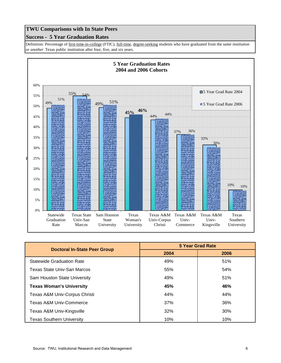#### **Success - 5 Year Graduation Rates**

Definition: Percentage of first-time-in-college (FTIC), full-time, degree-seeking students who have graduated from the *same institution or another* Texas public institution after four, five, and six years.



| <b>Doctoral In-State Peer Group</b> | <b>5 Year Grad Rate</b> |      |
|-------------------------------------|-------------------------|------|
|                                     | 2004                    | 2006 |
| <b>Statewide Graduation Rate</b>    | 49%                     | 51%  |
| Texas State Univ-San Marcos         | 55%                     | 54%  |
| Sam Houston State University        | 49%                     | 51%  |
| <b>Texas Woman's University</b>     | 45%                     | 46%  |
| Texas A&M Univ-Corpus Christi       | 44%                     | 44%  |
| Texas A&M Univ-Commerce             | 37%                     | 36%  |
| Texas A&M Univ-Kingsville           | 32%                     | 30%  |
| <b>Texas Southern University</b>    | 10%                     | 10%  |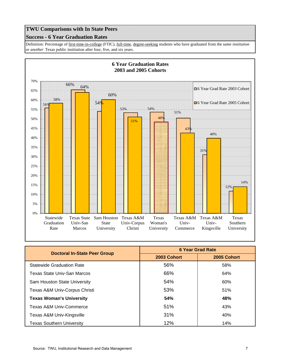#### **Success - 6 Year Graduation Rates**

Definition: Percentage of first-time-in-college (FTIC), full-time, degree-seeking students who have graduated from the *same institution or another* Texas public institution after four, five, and six years.



| <b>Doctoral In-State Peer Group</b> | <b>6 Year Grad Rate</b> |             |
|-------------------------------------|-------------------------|-------------|
|                                     | 2003 Cohort             | 2005 Cohort |
| <b>Statewide Graduation Rate</b>    | 56%                     | 58%         |
| Texas State Univ-San Marcos         | 66%                     | 64%         |
| Sam Houston State University        | 54%                     | 60%         |
| Texas A&M Univ-Corpus Christi       | 53%                     | 51%         |
| <b>Texas Woman's University</b>     | 54%                     | 48%         |
| Texas A&M Univ-Commerce             | 51%                     | 43%         |
| Texas A&M Univ-Kingsville           | 31%                     | 40%         |
| <b>Texas Southern University</b>    | 12%                     | 14%         |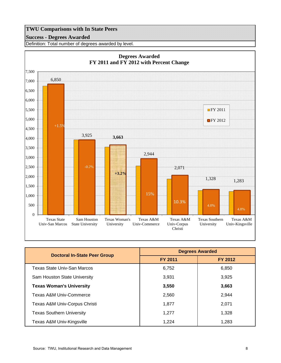#### **Success - Degrees Awarded**

Definition: Total number of degrees awarded by level.



| <b>Doctoral In-State Peer Group</b> | <b>Degrees Awarded</b> |                |
|-------------------------------------|------------------------|----------------|
|                                     | <b>FY 2011</b>         | <b>FY 2012</b> |
| Texas State Univ-San Marcos         | 6,752                  | 6,850          |
| Sam Houston State University        | 3,931                  | 3,925          |
| <b>Texas Woman's University</b>     | 3,550                  | 3,663          |
| <b>Texas A&amp;M Univ-Commerce</b>  | 2,560                  | 2.944          |
| Texas A&M Univ-Corpus Christi       | 1,877                  | 2,071          |
| <b>Texas Southern University</b>    | 1.277                  | 1,328          |
| Texas A&M Univ-Kingsville           | 1.224                  | 1.283          |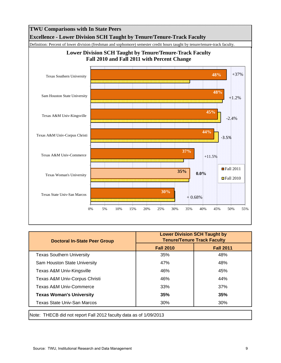

| <b>Lower Division SCH Taught by</b><br><b>Tenure/Tenure Track Faculty</b> |                  |
|---------------------------------------------------------------------------|------------------|
| <b>Fall 2010</b>                                                          | <b>Fall 2011</b> |
| 35%                                                                       | 48%              |
| 47%                                                                       | 48%              |
| 46%                                                                       | 45%              |
| 46%                                                                       | 44%              |
| 33%                                                                       | 37%              |
| 35%                                                                       | 35%              |
| 30%                                                                       | 30%              |
|                                                                           |                  |

Note: THECB did not report Fall 2012 faculty data as of 1/09/2013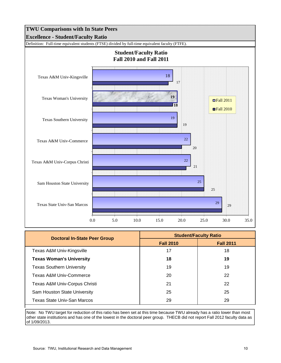

| Doctoral In-State Peer Group     | <b>Student/Faculty Ratio</b> |                  |
|----------------------------------|------------------------------|------------------|
|                                  | <b>Fall 2010</b>             | <b>Fall 2011</b> |
| Texas A&M Univ-Kingsville        | 17                           | 18               |
| <b>Texas Woman's University</b>  | 18                           | 19               |
| <b>Texas Southern University</b> | 19                           | 19               |
| Texas A&M Univ-Commerce          | 20                           | 22               |
| Texas A&M Univ-Corpus Christi    | 21                           | 22               |
| Sam Houston State University     | 25                           | 25               |
| Texas State Univ-San Marcos      | 29                           | 29               |

Note: No TWU target for reduction of this ratio has been set at this time because TWU already has a ratio lower than most other state institutions and has one of the lowest in the doctoral peer group. THECB did not report Fall 2012 faculty data as of 1/09/2013.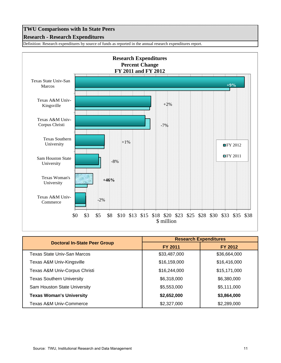#### **Research - Research Expenditures**

Definition: Research expenditures by source of funds as reported in the annual research expenditures report.



|                                     | <b>Research Expenditures</b> |              |
|-------------------------------------|------------------------------|--------------|
| <b>Doctoral In-State Peer Group</b> | <b>FY 2011</b>               | FY 2012      |
| Texas State Univ-San Marcos         | \$33,487,000                 | \$36,664,000 |
| Texas A&M Univ-Kingsville           | \$16,159,000                 | \$16,416,000 |
| Texas A&M Univ-Corpus Christi       | \$16,244,000                 | \$15,171,000 |
| <b>Texas Southern University</b>    | \$6,318,000                  | \$6,380,000  |
| Sam Houston State University        | \$5,553,000                  | \$5,111,000  |
| <b>Texas Woman's University</b>     | \$2,652,000                  | \$3,864,000  |
| Texas A&M Univ-Commerce             | \$2,327,000                  | \$2,289,000  |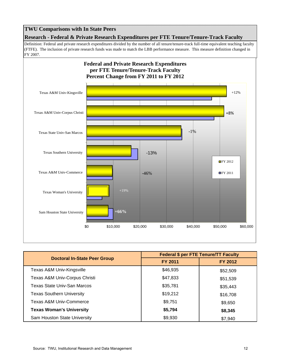**Research - Federal & Private Research Expenditures per FTE Tenure/Tenure-Track Faculty**

Definition: Federal and private research expenditures divided by the number of all tenure/tenure-track full-time equivalent teaching faculty (FTFE). The inclusion of private research funds was made to match the LBB performance measure. This measure definition changed in FY 2007.



|                                     | <b>Federal \$ per FTE Tenure/TT Faculty</b> |                |
|-------------------------------------|---------------------------------------------|----------------|
| <b>Doctoral In-State Peer Group</b> | <b>FY 2011</b>                              | <b>FY 2012</b> |
| Texas A&M Univ-Kingsville           | \$46,935                                    | \$52,509       |
| Texas A&M Univ-Corpus Christi       | \$47,833                                    | \$51,539       |
| Texas State Univ-San Marcos         | \$35,781                                    | \$35,443       |
| <b>Texas Southern University</b>    | \$19,212                                    | \$16,708       |
| Texas A&M Univ-Commerce             | \$9,751                                     | \$9,650        |
| <b>Texas Woman's University</b>     | \$5,794                                     | \$8,345        |
| Sam Houston State University        | \$9,930                                     | \$7,940        |